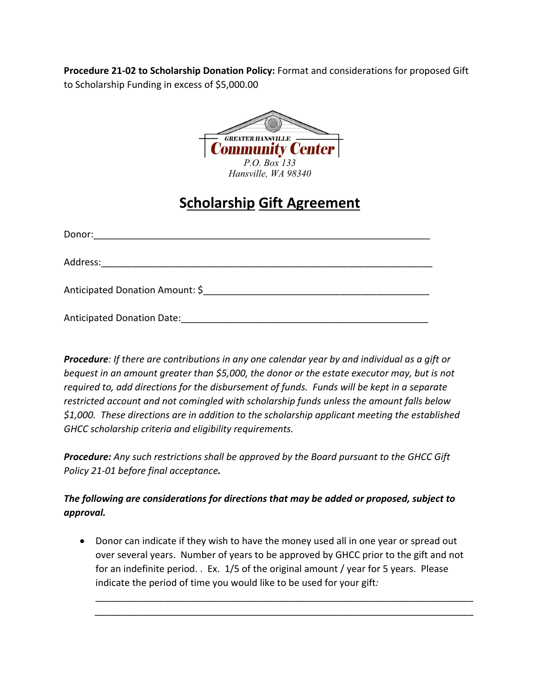**Procedure 21-02 to Scholarship Donation Policy:** Format and considerations for proposed Gift to Scholarship Funding in excess of \$5,000.00



## **Scholarship Gift Agreement**

| Donor:                            |
|-----------------------------------|
|                                   |
| Anticipated Donation Amount: \$   |
| <b>Anticipated Donation Date:</b> |

*Procedure: If there are contributions in any one calendar year by and individual as a gift or bequest in an amount greater than \$5,000, the donor or the estate executor may, but is not required to, add directions for the disbursement of funds. Funds will be kept in a separate restricted account and not comingled with scholarship funds unless the amount falls below \$1,000. These directions are in addition to the scholarship applicant meeting the established GHCC scholarship criteria and eligibility requirements.*

*Procedure: Any such restrictions shall be approved by the Board pursuant to the GHCC Gift Policy 21-01 before final acceptance.*

## *The following are considerations for directions that may be added or proposed, subject to approval.*

• Donor can indicate if they wish to have the money used all in one year or spread out over several years. Number of years to be approved by GHCC prior to the gift and not for an indefinite period. . Ex. 1/5 of the original amount / year for 5 years. Please indicate the period of time you would like to be used for your gift*:*

\_\_\_\_\_\_\_\_\_\_\_\_\_\_\_\_\_\_\_\_\_\_\_\_\_\_\_\_\_\_\_\_\_\_\_\_\_\_\_\_\_\_\_\_\_\_\_\_\_\_\_\_\_\_\_\_\_\_\_*\_\_\_\_\_\_\_\_\_\_\_\_\_ \_\_\_\_\_\_\_\_\_\_\_\_\_\_\_\_\_\_\_\_\_\_\_\_\_\_\_\_\_\_\_\_\_\_\_\_\_\_\_\_\_\_\_\_\_\_\_\_\_\_\_\_\_\_\_\_\_\_\_\_\_\_\_\_\_\_\_\_\_\_\_\_*